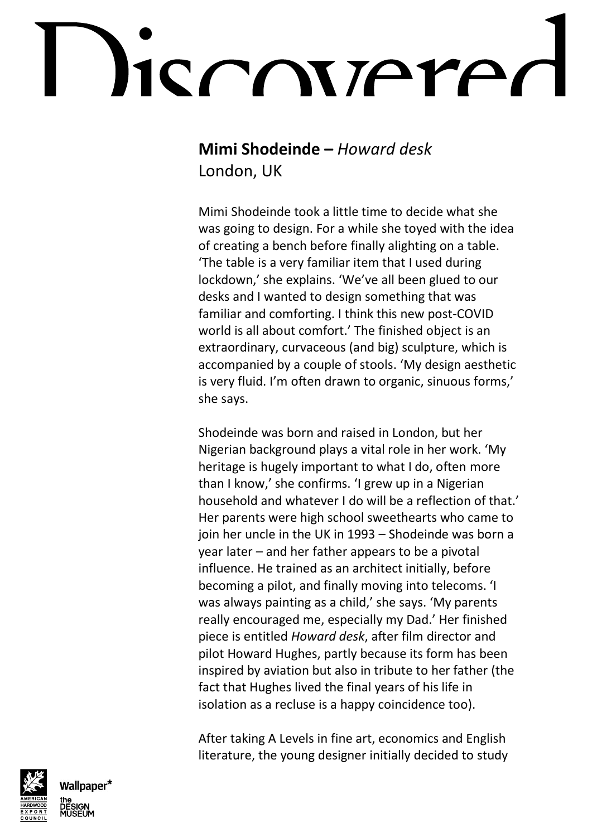## ICONTATA

#### **Mimi Shodeinde –** *Howard desk*

London, UK

Mimi Shodeinde took a little time to decide what she was going to design. For a while she toyed with the idea of creating a bench before finally alighting on a table. 'The table is a very familiar item that I used during lockdown,' she explains. 'We've all been glued to our desks and I wanted to design something that was familiar and comforting. I think this new post-COVID world is all about comfort.' The finished object is an extraordinary, curvaceous (and big) sculpture, which is accompanied by a couple of stools. 'My design aesthetic is very fluid. I'm often drawn to organic, sinuous forms,' she says.

Shodeinde was born and raised in London, but her Nigerian background plays a vital role in her work. 'My heritage is hugely important to what I do, often more than I know,' she confirms. 'I grew up in a Nigerian household and whatever I do will be a reflection of that.' Her parents were high school sweethearts who came to join her uncle in the UK in 1993 – Shodeinde was born a year later – and her father appears to be a pivotal influence. He trained as an architect initially, before becoming a pilot, and finally moving into telecoms. 'I was always painting as a child,' she says. 'My parents really encouraged me, especially my Dad.' Her finished piece is entitled *Howard desk*, after film director and pilot Howard Hughes, partly because its form has been inspired by aviation but also in tribute to her father (the fact that Hughes lived the final years of his life in isolation as a recluse is a happy coincidence too).

After taking A Levels in fine art, economics and English literature, the young designer initially decided to study



**Nallpaper\***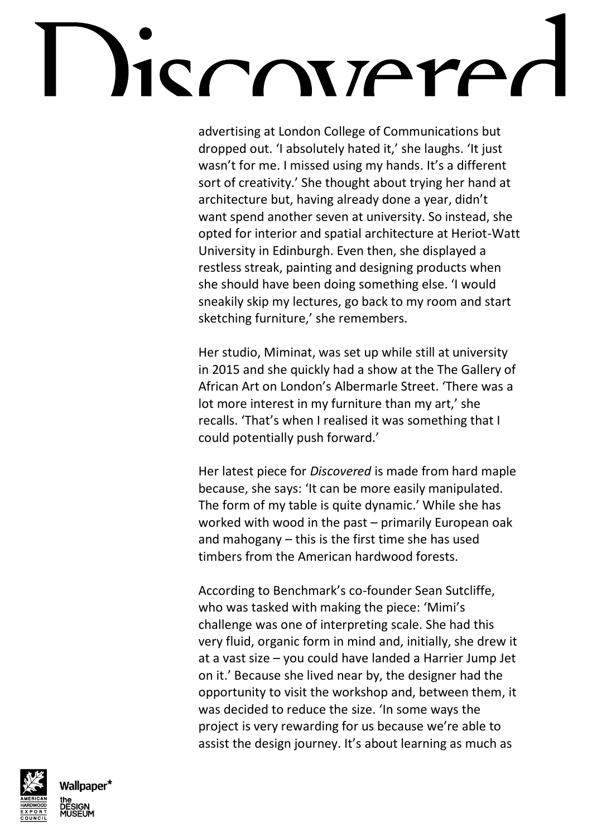## SCONTATA

advertising at London College of Communications but dropped out. 'I absolutely hated it,' she laughs. 'It just wasn't for me. I missed using my hands. It's a different sort of creativity.' She thought about trying her hand at architecture but, having already done a year, didn't want spend another seven at university. So instead, she opted for interior and spatial architecture at Heriot-Watt University in Edinburgh. Even then, she displayed a restless streak, painting and designing products when she should have been doing something else. 'I would sneakily skip my lectures, go back to my room and start sketching furniture,' she remembers.

Her studio, Miminat, was set up while still at university in 2015 and she quickly had a show at the The Gallery of African Art on London's Albermarle Street. 'There was a lot more interest in my furniture than my art,' she recalls. 'That's when I realised it was something that I could potentially push forward.'

Her latest piece for *Discovered* is made from hard maple because, she says: 'It can be more easily manipulated. The form of my table is quite dynamic.' While she has worked with wood in the past – primarily European oak and mahogany – this is the first time she has used timbers from the American hardwood forests.

According to Benchmark's co-founder Sean Sutcliffe, who was tasked with making the piece: 'Mimi's challenge was one of interpreting scale. She had this very fluid, organic form in mind and, initially, she drew it at a vast size – you could have landed a Harrier Jump Jet on it.' Because she lived near by, the designer had the opportunity to visit the workshop and, between them, it was decided to reduce the size. 'In some ways the project is very rewarding for us because we're able to assist the design journey. It's about learning as much as



Wallpaper\*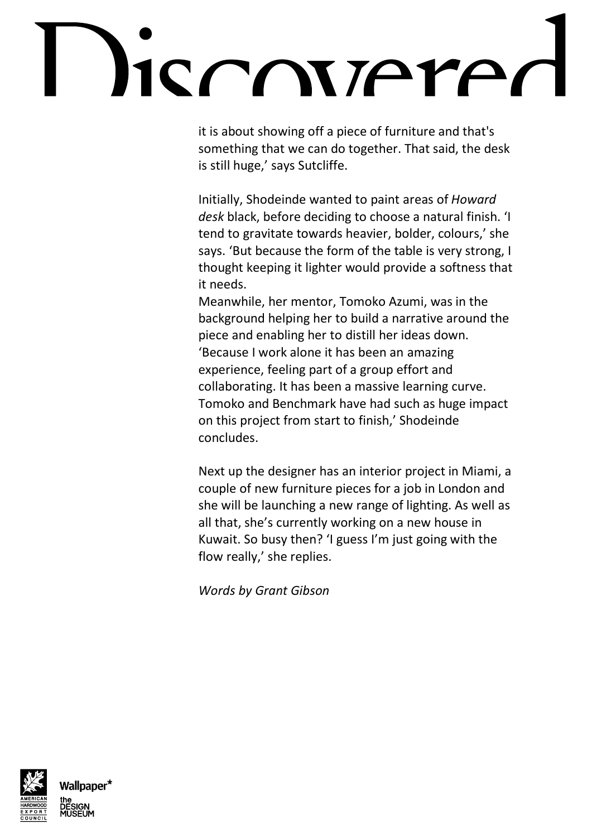# CONTAMPO

it is about showing off a piece of furniture and that's something that we can do together. That said, the desk is still huge,' says Sutcliffe.

Initially, Shodeinde wanted to paint areas of *Howard desk* black, before deciding to choose a natural finish. 'I tend to gravitate towards heavier, bolder, colours,' she says. 'But because the form of the table is very strong, I thought keeping it lighter would provide a softness that it needs.

Meanwhile, her mentor, Tomoko Azumi, was in the background helping her to build a narrative around the piece and enabling her to distill her ideas down. 'Because I work alone it has been an amazing experience, feeling part of a group effort and collaborating. It has been a massive learning curve. Tomoko and Benchmark have had such as huge impact on this project from start to finish,' Shodeinde concludes.

Next up the designer has an interior project in Miami, a couple of new furniture pieces for a job in London and she will be launching a new range of lighting. As well as all that, she's currently working on a new house in Kuwait. So busy then? 'I guess I'm just going with the flow really,' she replies.

*Words by Grant Gibson*